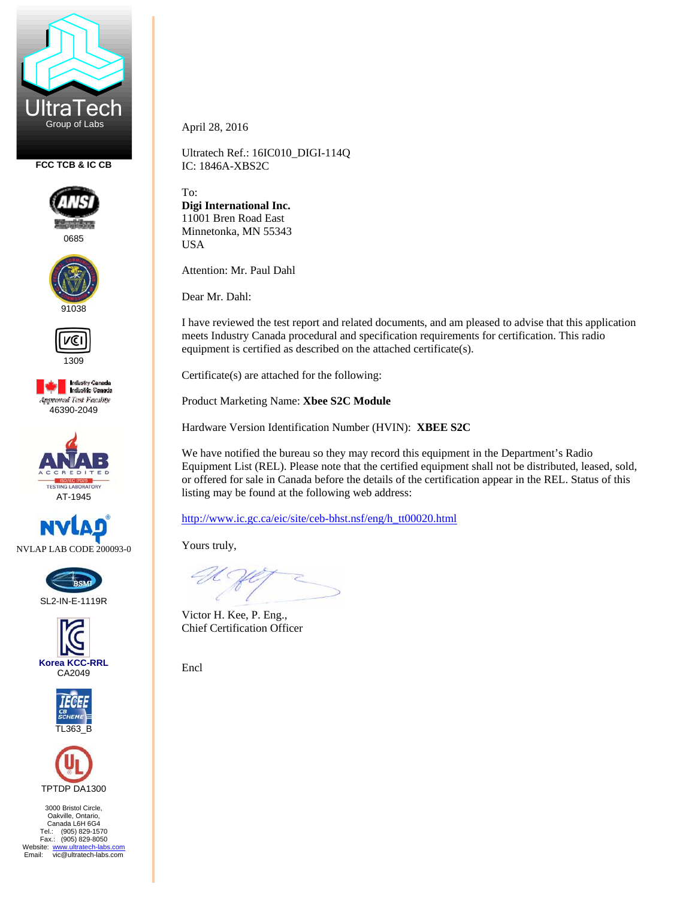

**FCC TCB & IC CB** 



0685





1309







SL2-IN-E-1119R







3000 Bristol Circle, Oakville, Ontario, Canada L6H 6G4 Tel.: (905) 829-1570 Fax.: (905) 829-8050 Website: www.ultratech-labs.com<br>Email: vic@ultratech-labs.com April 28, 2016

Ultratech Ref.: 16IC010\_DIGI-114Q IC: 1846A-XBS2C

To: **Digi International Inc.**  11001 Bren Road East Minnetonka, MN 55343 USA

Attention: Mr. Paul Dahl

Dear Mr. Dahl:

I have reviewed the test report and related documents, and am pleased to advise that this application meets Industry Canada procedural and specification requirements for certification. This radio equipment is certified as described on the attached certificate(s).

Certificate(s) are attached for the following:

Product Marketing Name: **Xbee S2C Module** 

Hardware Version Identification Number (HVIN): **XBEE S2C** 

We have notified the bureau so they may record this equipment in the Department's Radio Equipment List (REL). Please note that the certified equipment shall not be distributed, leased, sold, or offered for sale in Canada before the details of the certification appear in the REL. Status of this listing may be found at the following web address:

http://www.ic.gc.ca/eic/site/ceb-bhst.nsf/eng/h\_tt00020.html

Yours truly,

Victor H. Kee, P. Eng., Chief Certification Officer

Encl